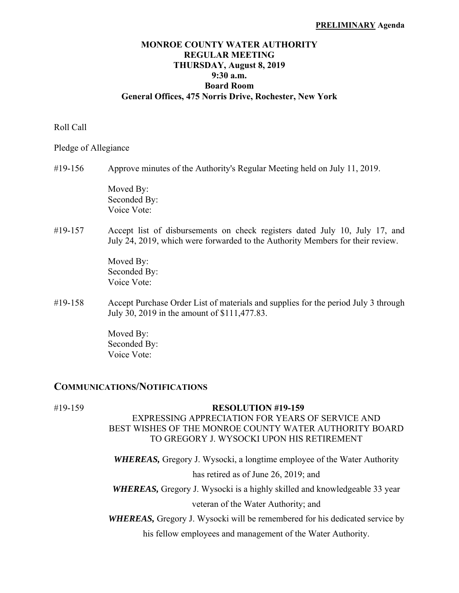#### **PRELIMINARY Agenda**

### **MONROE COUNTY WATER AUTHORITY REGULAR MEETING THURSDAY, August 8, 2019 9:30 a.m. Board Room General Offices, 475 Norris Drive, Rochester, New York**

#### Roll Call

Pledge of Allegiance

#19-156 Approve minutes of the Authority's Regular Meeting held on July 11, 2019.

 Moved By: Seconded By: Voice Vote:

#19-157 Accept list of disbursements on check registers dated July 10, July 17, and July 24, 2019, which were forwarded to the Authority Members for their review.

> Moved By: Seconded By: Voice Vote:

#19-158 Accept Purchase Order List of materials and supplies for the period July 3 through July 30, 2019 in the amount of \$111,477.83.

> Moved By: Seconded By: Voice Vote:

### **COMMUNICATIONS/NOTIFICATIONS**

# #19-159 **RESOLUTION #19-159**

## EXPRESSING APPRECIATION FOR YEARS OF SERVICE AND BEST WISHES OF THE MONROE COUNTY WATER AUTHORITY BOARD TO GREGORY J. WYSOCKI UPON HIS RETIREMENT

*WHEREAS,* Gregory J. Wysocki, a longtime employee of the Water Authority has retired as of June 26, 2019; and

*WHEREAS,* Gregory J. Wysocki is a highly skilled and knowledgeable 33 year veteran of the Water Authority; and

*WHEREAS,* Gregory J. Wysocki will be remembered for his dedicated service by

his fellow employees and management of the Water Authority.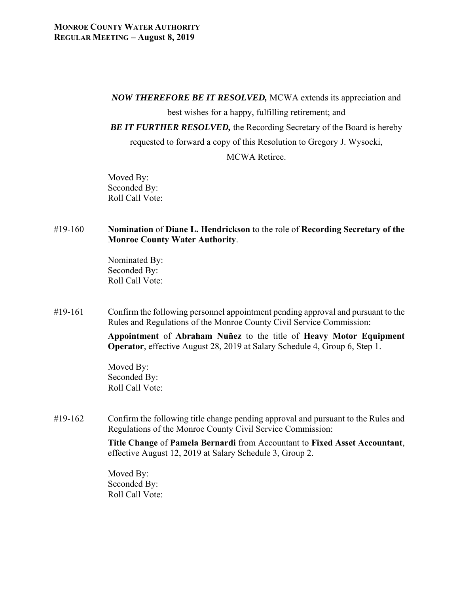*NOW THEREFORE BE IT RESOLVED,* MCWA extends its appreciation and

best wishes for a happy, fulfilling retirement; and

*BE IT FURTHER RESOLVED,* the Recording Secretary of the Board is hereby

requested to forward a copy of this Resolution to Gregory J. Wysocki,

MCWA Retiree.

 Moved By: Seconded By: Roll Call Vote:

## #19-160 **Nomination** of **Diane L. Hendrickson** to the role of **Recording Secretary of the Monroe County Water Authority**.

 Nominated By: Seconded By: Roll Call Vote:

#19-161 Confirm the following personnel appointment pending approval and pursuant to the Rules and Regulations of the Monroe County Civil Service Commission:

> **Appointment** of **Abraham Nuñez** to the title of **Heavy Motor Equipment Operator**, effective August 28, 2019 at Salary Schedule 4, Group 6, Step 1.

 Moved By: Seconded By: Roll Call Vote:

#19-162 Confirm the following title change pending approval and pursuant to the Rules and Regulations of the Monroe County Civil Service Commission:

> **Title Change** of **Pamela Bernardi** from Accountant to **Fixed Asset Accountant**, effective August 12, 2019 at Salary Schedule 3, Group 2.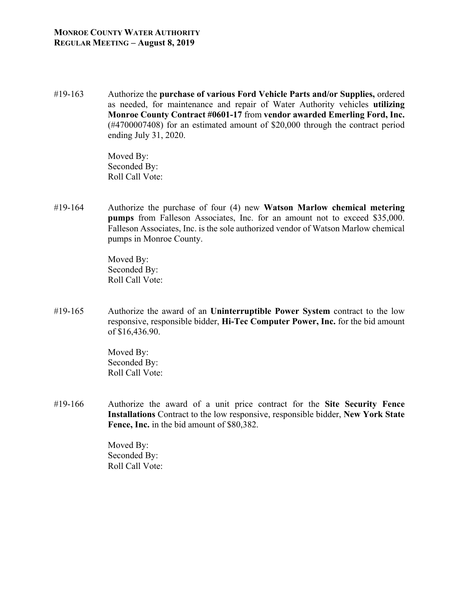#19-163 Authorize the **purchase of various Ford Vehicle Parts and/or Supplies,** ordered as needed, for maintenance and repair of Water Authority vehicles **utilizing Monroe County Contract #0601-17** from **vendor awarded Emerling Ford, Inc.** (#4700007408) for an estimated amount of \$20,000 through the contract period ending July 31, 2020.

> Moved By: Seconded By: Roll Call Vote:

#19-164 Authorize the purchase of four (4) new **Watson Marlow chemical metering pumps** from Falleson Associates, Inc. for an amount not to exceed \$35,000. Falleson Associates, Inc. is the sole authorized vendor of Watson Marlow chemical pumps in Monroe County.

> Moved By: Seconded By: Roll Call Vote:

#19-165 Authorize the award of an **Uninterruptible Power System** contract to the low responsive, responsible bidder, **Hi-Tec Computer Power, Inc.** for the bid amount of \$16,436.90.

> Moved By: Seconded By: Roll Call Vote:

#19-166 Authorize the award of a unit price contract for the **Site Security Fence Installations** Contract to the low responsive, responsible bidder, **New York State Fence, Inc.** in the bid amount of \$80,382.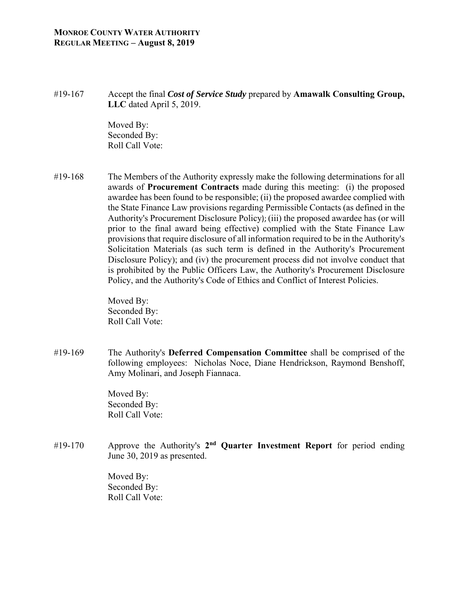### **MONROE COUNTY WATER AUTHORITY REGULAR MEETING – August 8, 2019**

#19-167 Accept the final *Cost of Service Study* prepared by **Amawalk Consulting Group, LLC** dated April 5, 2019.

> Moved By: Seconded By: Roll Call Vote:

#19-168 The Members of the Authority expressly make the following determinations for all awards of **Procurement Contracts** made during this meeting: (i) the proposed awardee has been found to be responsible; (ii) the proposed awardee complied with the State Finance Law provisions regarding Permissible Contacts (as defined in the Authority's Procurement Disclosure Policy); (iii) the proposed awardee has (or will prior to the final award being effective) complied with the State Finance Law provisions that require disclosure of all information required to be in the Authority's Solicitation Materials (as such term is defined in the Authority's Procurement Disclosure Policy); and (iv) the procurement process did not involve conduct that is prohibited by the Public Officers Law, the Authority's Procurement Disclosure Policy, and the Authority's Code of Ethics and Conflict of Interest Policies.

> Moved By: Seconded By: Roll Call Vote:

#19-169 The Authority's **Deferred Compensation Committee** shall be comprised of the following employees: Nicholas Noce, Diane Hendrickson, Raymond Benshoff, Amy Molinari, and Joseph Fiannaca.

> Moved By: Seconded By: Roll Call Vote:

#19-170 Approve the Authority's **2nd Quarter Investment Report** for period ending June 30, 2019 as presented.